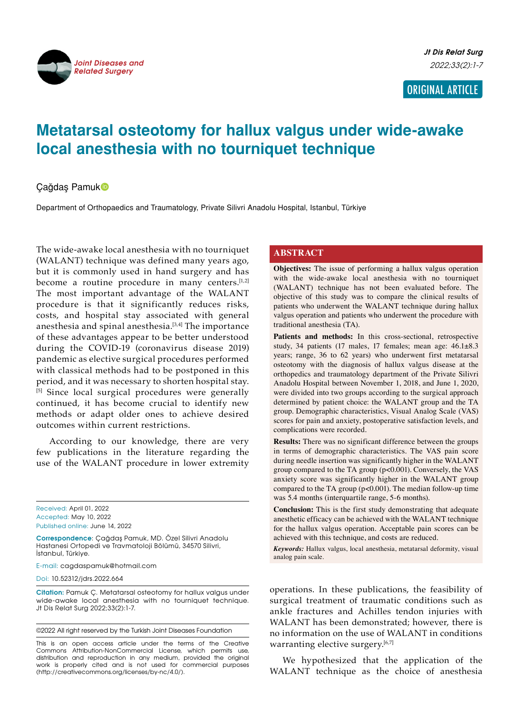

# **Metatarsal osteotomy for hallux valgus under wide-awake local anesthesia with no tourniquet technique**

Çağdaş Pamuk

Department of Orthopaedics and Traumatology, Private Silivri Anadolu Hospital, Istanbul, Türkiye

The wide-awake local anesthesia with no tourniquet (WALANT) technique was defined many years ago, but it is commonly used in hand surgery and has become a routine procedure in many centers.<sup>[1,2]</sup> The most important advantage of the WALANT procedure is that it significantly reduces risks, costs, and hospital stay associated with general anesthesia and spinal anesthesia.[3,4] The importance of these advantages appear to be better understood during the COVID-19 (coronavirus disease 2019) pandemic as elective surgical procedures performed with classical methods had to be postponed in this period, and it was necessary to shorten hospital stay. [5] Since local surgical procedures were generally continued, it has become crucial to identify new methods or adapt older ones to achieve desired outcomes within current restrictions.

According to our knowledge, there are very few publications in the literature regarding the use of the WALANT procedure in lower extremity

Received: April 01, 2022 Accepted: May 10, 2022 Published online: June 14, 2022

**Correspondence**: Çağdaş Pamuk, MD. Özel Silivri Anadolu Hastanesi Ortopedi ve Travmatoloji Bölümü, 34570 Silivri, İstanbul, Türkiye.

E-mail: cagdaspamuk@hotmail.com

Doi: 10.52312/jdrs.2022.664

**Citation:** Pamuk Ç. Metatarsal osteotomy for hallux valgus under wide-awake local anesthesia with no tourniquet technique. Jt Dis Relat Surg 2022;33(2):1-7.

©2022 All right reserved by the Turkish Joint Diseases Foundation

This is an open access article under the terms of the Creative Commons Attribution-NonCommercial License, which permits use, distribution and reproduction in any medium, provided the original work is properly cited and is not used for commercial purposes (http://creativecommons.org/licenses/by-nc/4.0/).

## **ABSTRACT**

**Objectives:** The issue of performing a hallux valgus operation with the wide-awake local anesthesia with no tourniquet (WALANT) technique has not been evaluated before. The objective of this study was to compare the clinical results of patients who underwent the WALANT technique during hallux valgus operation and patients who underwent the procedure with traditional anesthesia (TA).

**Patients and methods:** In this cross-sectional, retrospective study, 34 patients (17 males, 17 females; mean age: 46.1±8.3 years; range, 36 to 62 years) who underwent first metatarsal osteotomy with the diagnosis of hallux valgus disease at the orthopedics and traumatology department of the Private Silivri Anadolu Hospital between November 1, 2018, and June 1, 2020, were divided into two groups according to the surgical approach determined by patient choice: the WALANT group and the TA group. Demographic characteristics, Visual Analog Scale (VAS) scores for pain and anxiety, postoperative satisfaction levels, and complications were recorded.

**Results:** There was no significant difference between the groups in terms of demographic characteristics. The VAS pain score during needle insertion was significantly higher in the WALANT group compared to the TA group (p<0.001). Conversely, the VAS anxiety score was significantly higher in the WALANT group compared to the TA group ( $p<0.001$ ). The median follow-up time was 5.4 months (interquartile range, 5-6 months).

**Conclusion:** This is the first study demonstrating that adequate anesthetic efficacy can be achieved with the WALANT technique for the hallux valgus operation. Acceptable pain scores can be achieved with this technique, and costs are reduced.

*Keywords:* Hallux valgus, local anesthesia, metatarsal deformity, visual analog pain scale.

operations. In these publications, the feasibility of surgical treatment of traumatic conditions such as ankle fractures and Achilles tendon injuries with WALANT has been demonstrated; however, there is no information on the use of WALANT in conditions warranting elective surgery.<sup>[6,7]</sup>

We hypothesized that the application of the WALANT technique as the choice of anesthesia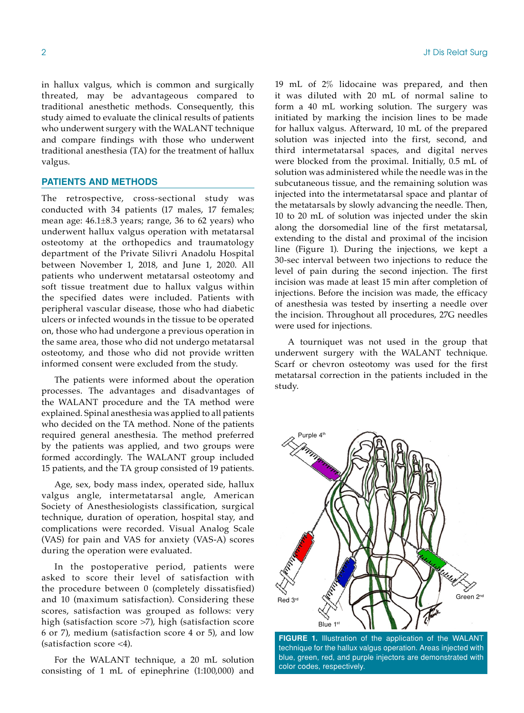in hallux valgus, which is common and surgically threated, may be advantageous compared to traditional anesthetic methods. Consequently, this study aimed to evaluate the clinical results of patients who underwent surgery with the WALANT technique and compare findings with those who underwent traditional anesthesia (TA) for the treatment of hallux valgus.

### **PATIENTS AND METHODS**

The retrospective, cross-sectional study was conducted with 34 patients (17 males, 17 females; mean age: 46.1±8.3 years; range, 36 to 62 years) who underwent hallux valgus operation with metatarsal osteotomy at the orthopedics and traumatology department of the Private Silivri Anadolu Hospital between November 1, 2018, and June 1, 2020. All patients who underwent metatarsal osteotomy and soft tissue treatment due to hallux valgus within the specified dates were included. Patients with peripheral vascular disease, those who had diabetic ulcers or infected wounds in the tissue to be operated on, those who had undergone a previous operation in the same area, those who did not undergo metatarsal osteotomy, and those who did not provide written informed consent were excluded from the study.

The patients were informed about the operation processes. The advantages and disadvantages of the WALANT procedure and the TA method were explained. Spinal anesthesia was applied to all patients who decided on the TA method. None of the patients required general anesthesia. The method preferred by the patients was applied, and two groups were formed accordingly. The WALANT group included 15 patients, and the TA group consisted of 19 patients.

Age, sex, body mass index, operated side, hallux valgus angle, intermetatarsal angle, American Society of Anesthesiologists classification, surgical technique, duration of operation, hospital stay, and complications were recorded. Visual Analog Scale (VAS) for pain and VAS for anxiety (VAS-A) scores during the operation were evaluated.

In the postoperative period, patients were asked to score their level of satisfaction with the procedure between 0 (completely dissatisfied) and 10 (maximum satisfaction). Considering these scores, satisfaction was grouped as follows: very high (satisfaction score >7), high (satisfaction score 6 or 7), medium (satisfaction score 4 or 5), and low (satisfaction score <4).

For the WALANT technique, a 20 mL solution consisting of 1 mL of epinephrine (1:100,000) and 19 mL of 2% lidocaine was prepared, and then it was diluted with 20 mL of normal saline to form a 40 mL working solution. The surgery was initiated by marking the incision lines to be made for hallux valgus. Afterward, 10 mL of the prepared solution was injected into the first, second, and third intermetatarsal spaces, and digital nerves were blocked from the proximal. Initially, 0.5 mL of solution was administered while the needle was in the subcutaneous tissue, and the remaining solution was injected into the intermetatarsal space and plantar of the metatarsals by slowly advancing the needle. Then, 10 to 20 mL of solution was injected under the skin along the dorsomedial line of the first metatarsal, extending to the distal and proximal of the incision line (Figure 1). During the injections, we kept a 30-sec interval between two injections to reduce the level of pain during the second injection. The first incision was made at least 15 min after completion of injections. Before the incision was made, the efficacy of anesthesia was tested by inserting a needle over the incision. Throughout all procedures, 27G needles were used for injections.

A tourniquet was not used in the group that underwent surgery with the WALANT technique. Scarf or chevron osteotomy was used for the first metatarsal correction in the patients included in the study.



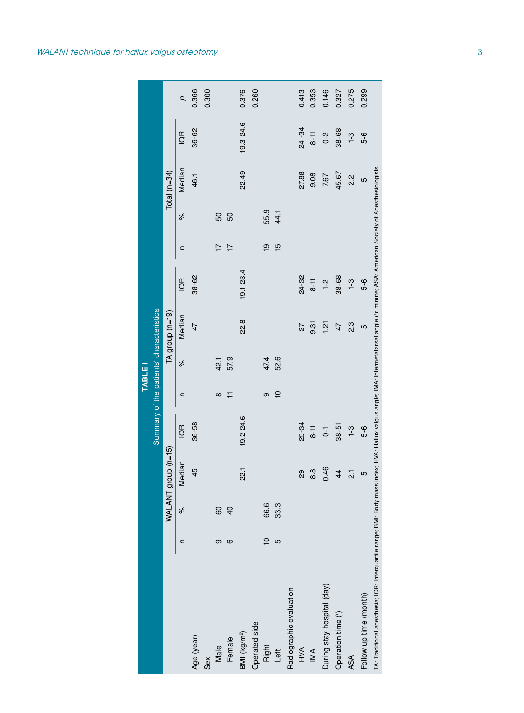|                                                                                                                                                                                           |                |               |                     |                |                | TABLE    |                                          |                |                |               |                |                |       |
|-------------------------------------------------------------------------------------------------------------------------------------------------------------------------------------------|----------------|---------------|---------------------|----------------|----------------|----------|------------------------------------------|----------------|----------------|---------------|----------------|----------------|-------|
|                                                                                                                                                                                           |                |               |                     |                |                |          | Summary of the patients' characteristics |                |                |               |                |                |       |
|                                                                                                                                                                                           |                | WALANT        | $group (n=15)$      |                |                |          | TA group (n=19)                          |                |                |               | Total $(n=34)$ |                |       |
|                                                                                                                                                                                           | ⊆              | $\approx$     | Median              | $\overline{6}$ | $\mathbf{C}$   | $\delta$ | Median                                   | $\overline{G}$ | $\mathbf{C}$   | $\frac{6}{6}$ | Median         | $\overline{G}$ | Q     |
| Age (year)                                                                                                                                                                                |                |               | 45                  | 36-58          |                |          | 47                                       | 38-62          |                |               | 46.1           | 36-62          | 0.366 |
| Sex                                                                                                                                                                                       |                |               |                     |                |                |          |                                          |                |                |               |                |                | 0.300 |
| Male                                                                                                                                                                                      | თ              | 60            |                     |                | $\infty$       | 42.1     |                                          |                | $\overline{1}$ | 50            |                |                |       |
| Female                                                                                                                                                                                    | ဖ              | $\frac{4}{3}$ |                     |                | ∓              | 57.9     |                                          |                | $\overline{1}$ | 50            |                |                |       |
| BMI (kg/m <sup>2</sup> )                                                                                                                                                                  |                |               | 22.1                | 19.2-24.6      |                |          | 22.8                                     | $19.1 - 23.4$  |                |               | 22.49          | 19.3-24.6      | 0.376 |
| Operated side                                                                                                                                                                             |                |               |                     |                |                |          |                                          |                |                |               |                |                | 0.260 |
| Right                                                                                                                                                                                     | $\overline{C}$ | 66.6          |                     |                | თ              | 47.4     |                                          |                | စ္             | 55.9          |                |                |       |
| Left                                                                                                                                                                                      | 5              | 33.3          |                     |                | $\overline{C}$ | 52.6     |                                          |                | 15             | 44.1          |                |                |       |
| Radiographic evaluation                                                                                                                                                                   |                |               |                     |                |                |          |                                          |                |                |               |                |                |       |
| A<br>NH                                                                                                                                                                                   |                |               | 29                  | 25-34          |                |          | 27                                       | 24-32          |                |               | 27.88          | 24 - 34        | 0.413 |
| M <sub>A</sub>                                                                                                                                                                            |                |               | 8.8                 | $8-11$         |                |          | შ<br>მ                                   | $8 - 11$       |                |               | 9.08           | $8-11$         | 0.353 |
| During stay hospital (day)                                                                                                                                                                |                |               | 0.46                | $\overline{c}$ |                |          | $\frac{51}{2}$                           | $1 - 2$        |                |               | 7.67           | $0 - 2$        | 0.146 |
| Operation time (')                                                                                                                                                                        |                |               | 44                  | $38 - 51$      |                |          | 47                                       | 38-68          |                |               | 45.67          | 38-68          | 0.327 |
| <b>ASA</b>                                                                                                                                                                                |                |               | $\overline{\Omega}$ | $1 - 3$        |                |          | 2.3                                      | $1 - 3$        |                |               | 2.2            | $1 - 3$        | 0.275 |
| Follow up time (month)                                                                                                                                                                    |                |               | 5                   | 5-6            |                |          | 5                                        | 5-6            |                |               | 5              | 5-6            | 0.299 |
| TA: Traditional anesthesia; IQR: Interquartile range; BMI: Body mass index; HVA: Hallux valgus angle; IMA: Intermetatarsal angle ('): minute; ASA: American Society of Anesthesiologists. |                |               |                     |                |                |          |                                          |                |                |               |                |                |       |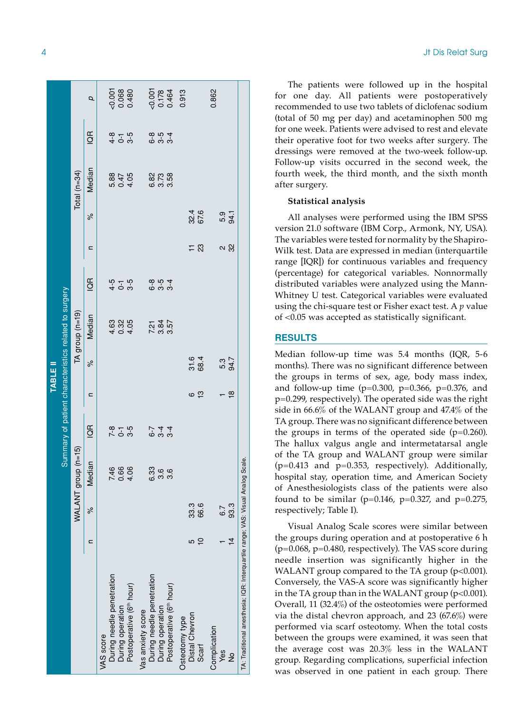|                                                                                 |               |              |                      |                         |                         | <b>TABLE II</b>  |                                                       |                              |                     |              |                          |                            |                            |
|---------------------------------------------------------------------------------|---------------|--------------|----------------------|-------------------------|-------------------------|------------------|-------------------------------------------------------|------------------------------|---------------------|--------------|--------------------------|----------------------------|----------------------------|
|                                                                                 |               |              |                      |                         |                         |                  | Summary of patient characteristics related to surgery |                              |                     |              |                          |                            |                            |
|                                                                                 |               | WALANT       | $group(n=15)$        |                         |                         |                  | TA group (n=19)                                       |                              |                     |              | Total $(n=34)$           |                            |                            |
|                                                                                 | n             | ಸಿ           | Median               | $\frac{1}{2}$           | ⊆                       | $\frac{6}{6}$    | Median                                                | $\frac{1}{2}$                | ⊂                   | ಸಿ           | Median                   | $\frac{a}{2}$              | p                          |
| VAS score                                                                       |               |              |                      |                         |                         |                  |                                                       |                              |                     |              |                          |                            |                            |
| During needle penetration                                                       |               |              |                      |                         |                         |                  |                                                       |                              |                     |              |                          |                            |                            |
| During operation                                                                |               |              | 7.66<br>0.66<br>7.04 | 2 - 5<br>2 - 6<br>2 - 7 |                         |                  |                                                       | 4 - 5<br>4 - 6<br>4 - 6      |                     |              | 5.85<br>0.4.05<br>0.4.05 | $4 - 5$<br>$4 - 5$         |                            |
| Postoperative (6 <sup>th</sup> hour)                                            |               |              |                      |                         |                         |                  |                                                       |                              |                     |              |                          |                            | $-0.001$<br>0.068<br>0.480 |
| Vas anxiety score                                                               |               |              |                      |                         |                         |                  |                                                       |                              |                     |              |                          |                            |                            |
| During needle penetration                                                       |               |              | 6.33                 |                         |                         |                  |                                                       |                              |                     |              |                          |                            |                            |
| During operation                                                                |               |              | 3.6                  | 6 9 9<br>6 9 9<br>6 9 9 |                         |                  | 2. 8. 2.<br>2. 8. 2.                                  | <b>ဝိ ကို</b> 4<br>ထို ကို 4 |                     |              | 8<br>8<br>6 0 0<br>9 0   | <b>စ် ကို</b><br>စိုက် ကို |                            |
| Postoperative (6 <sup>th</sup> hour)                                            |               |              | 3.6                  |                         |                         |                  |                                                       |                              |                     |              |                          |                            | $-0.001$<br>0.178<br>0.464 |
| Osteotomy type                                                                  |               |              |                      |                         |                         |                  |                                                       |                              |                     |              |                          |                            | 0.913                      |
| Distal Chevron                                                                  | S<br>Ю        | 33.3<br>66.6 |                      |                         | ှု<br>ဖ                 | 31.6<br>68.4     |                                                       |                              | $\mathbb{S}^2$<br>⋍ | 32.6<br>67.6 |                          |                            |                            |
| Scarf                                                                           |               |              |                      |                         |                         |                  |                                                       |                              |                     |              |                          |                            |                            |
| Complication                                                                    |               |              |                      |                         |                         |                  |                                                       |                              |                     |              |                          |                            | 0.862                      |
| Yes                                                                             |               | 67           |                      |                         |                         | ნ 34.7<br>თ<br>მ |                                                       |                              | <u>ని</u>           | 5.4<br>54.1  |                          |                            |                            |
| $\frac{1}{2}$                                                                   | $\frac{4}{4}$ | 93.3         |                      |                         | $\frac{\infty}{\infty}$ |                  |                                                       |                              |                     |              |                          |                            |                            |
| TA: Traditional anesthesia; IQR: Interquartile range; VAS: Visual Analog Scale. |               |              |                      |                         |                         |                  |                                                       |                              |                     |              |                          |                            |                            |

The patients were followed up in the hospital for one day. All patients were postoperatively recommended to use two tablets of diclofenac sodium (total of 50 mg per day) and acetaminophen 500 mg for one week. Patients were advised to rest and elevate their operative foot for two weeks after surgery. The dressings were removed at the two-week follow-up. Follow-up visits occurred in the second week, the fourth week, the third month, and the sixth month after surgery.

#### **Statistical analysis**

All analyses were performed using the IBM SPSS version 21.0 software (IBM Corp., Armonk, NY, USA). The variables were tested for normality by the Shapiro-Wilk test. Data are expressed in median (interquartile range [IQR]) for continuous variables and frequency (percentage) for categorical variables. Nonnormally distributed variables were analyzed using the Mann-Whitney U test. Categorical variables were evaluated using the chi-square test or Fisher exact test. A *p* value of <0.05 was accepted as statistically significant.

#### **RESU LTS**

Median follow-up time was 5.4 months (IQR, 5-6 months). There was no significant difference between the groups in terms of sex, age, body mass index, and follow-up time ( $p=0.300$ ,  $p=0.366$ ,  $p=0.376$ , and p=0.299, respectively). The operated side was the right side in 66.6% of the WALANT group and 47.4% of the TA group. There was no significant difference between the groups in terms of the operated side  $(p=0.260)$ . The hallux valgus angle and intermetatarsal angle of the TA group and WALANT group were similar  $(p=0.413$  and  $p=0.353$ , respectively). Additionally, hospital stay, operation time, and American Society of Anesthesiologists class of the patients were also found to be similar ( $p=0.146$ ,  $p=0.327$ , and  $p=0.275$ , respectively; Table I).

Visual Analog Scale scores were similar between the groups during operation and at postoperative 6 h  $(p=0.068, p=0.480,$  respectively). The VAS score during needle insertion was significantly higher in the WALANT group compared to the TA group  $(p<0.001)$ . Conversely, the VAS-A score was significantly higher in the TA group than in the WALANT group  $(p<0.001)$ . Overall, 11 (32.4%) of the osteotomies were performed via the distal chevron approach, and 23 (67.6%) were performed via scarf osteotomy. When the total costs between the groups were examined, it was seen that the average cost was 20.3% less in the WALANT group. Regarding complications, superficial infection was observed in one patient in each group. There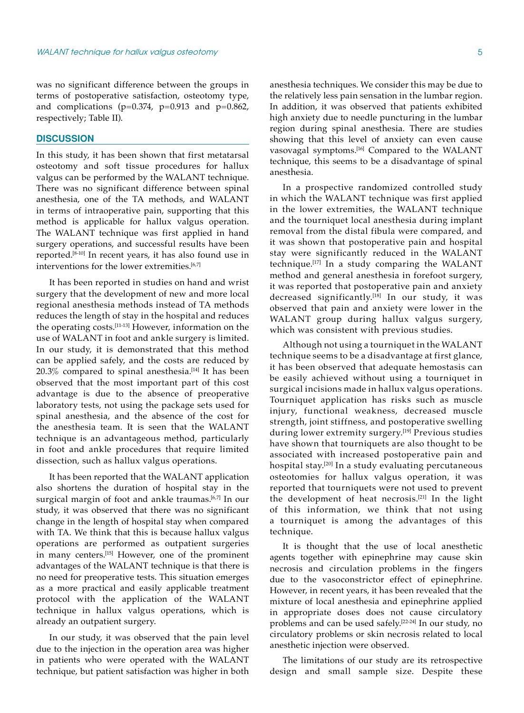was no significant difference between the groups in terms of postoperative satisfaction, osteotomy type, and complications ( $p=0.374$ ,  $p=0.913$  and  $p=0.862$ , respectively; Table II).

## **DISCUSSION**

In this study, it has been shown that first metatarsal osteotomy and soft tissue procedures for hallux valgus can be performed by the WALANT technique. There was no significant difference between spinal anesthesia, one of the TA methods, and WALANT in terms of intraoperative pain, supporting that this method is applicable for hallux valgus operation. The WALANT technique was first applied in hand surgery operations, and successful results have been reported.[8-10] In recent years, it has also found use in interventions for the lower extremities.<sup>[6,7]</sup>

It has been reported in studies on hand and wrist surgery that the development of new and more local regional anesthesia methods instead of TA methods reduces the length of stay in the hospital and reduces the operating costs.[11-13] However, information on the use of WALANT in foot and ankle surgery is limited. In our study, it is demonstrated that this method can be applied safely, and the costs are reduced by  $20.3\%$  compared to spinal anesthesia.<sup>[14]</sup> It has been observed that the most important part of this cost advantage is due to the absence of preoperative laboratory tests, not using the package sets used for spinal anesthesia, and the absence of the cost for the anesthesia team. It is seen that the WALANT technique is an advantageous method, particularly in foot and ankle procedures that require limited dissection, such as hallux valgus operations.

It has been reported that the WALANT application also shortens the duration of hospital stay in the surgical margin of foot and ankle traumas.<sup>[6,7]</sup> In our study, it was observed that there was no significant change in the length of hospital stay when compared with TA. We think that this is because hallux valgus operations are performed as outpatient surgeries in many centers.[15] However, one of the prominent advantages of the WALANT technique is that there is no need for preoperative tests. This situation emerges as a more practical and easily applicable treatment protocol with the application of the WALANT technique in hallux valgus operations, which is already an outpatient surgery.

In our study, it was observed that the pain level due to the injection in the operation area was higher in patients who were operated with the WALANT technique, but patient satisfaction was higher in both anesthesia techniques. We consider this may be due to the relatively less pain sensation in the lumbar region. In addition, it was observed that patients exhibited high anxiety due to needle puncturing in the lumbar region during spinal anesthesia. There are studies showing that this level of anxiety can even cause vasovagal symptoms.[16] Compared to the WALANT technique, this seems to be a disadvantage of spinal anesthesia.

In a prospective randomized controlled study in which the WALANT technique was first applied in the lower extremities, the WALANT technique and the tourniquet local anesthesia during implant removal from the distal fibula were compared, and it was shown that postoperative pain and hospital stay were significantly reduced in the WALANT technique.[17] In a study comparing the WALANT method and general anesthesia in forefoot surgery, it was reported that postoperative pain and anxiety decreased significantly.<sup>[18]</sup> In our study, it was observed that pain and anxiety were lower in the WALANT group during hallux valgus surgery, which was consistent with previous studies.

Although not using a tourniquet in the WALANT technique seems to be a disadvantage at first glance, it has been observed that adequate hemostasis can be easily achieved without using a tourniquet in surgical incisions made in hallux valgus operations. Tourniquet application has risks such as muscle injury, functional weakness, decreased muscle strength, joint stiffness, and postoperative swelling during lower extremity surgery.<sup>[19]</sup> Previous studies have shown that tourniquets are also thought to be associated with increased postoperative pain and hospital stay.[20] In a study evaluating percutaneous osteotomies for hallux valgus operation, it was reported that tourniquets were not used to prevent the development of heat necrosis.[21] In the light of this information, we think that not using a tourniquet is among the advantages of this technique.

It is thought that the use of local anesthetic agents together with epinephrine may cause skin necrosis and circulation problems in the fingers due to the vasoconstrictor effect of epinephrine. However, in recent years, it has been revealed that the mixture of local anesthesia and epinephrine applied in appropriate doses does not cause circulatory problems and can be used safely.[22-24] In our study, no circulatory problems or skin necrosis related to local anesthetic injection were observed.

The limitations of our study are its retrospective design and small sample size. Despite these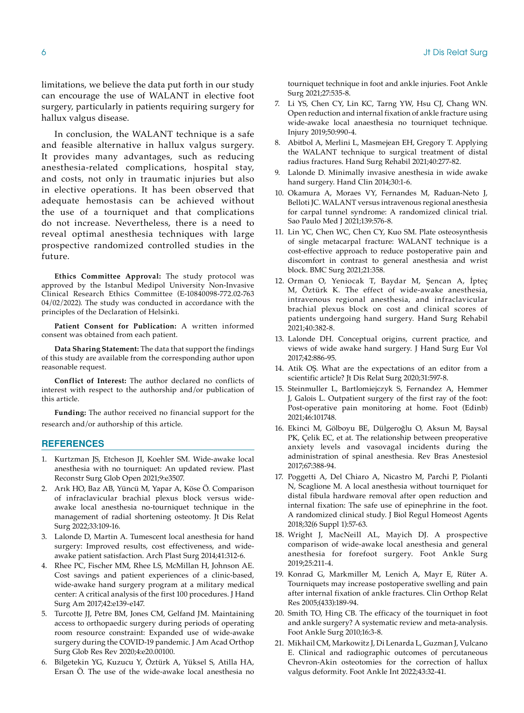limitations, we believe the data put forth in our study can encourage the use of WALANT in elective foot surgery, particularly in patients requiring surgery for hallux valgus disease.

In conclusion, the WALANT technique is a safe and feasible alternative in hallux valgus surgery. It provides many advantages, such as reducing anesthesia-related complications, hospital stay, and costs, not only in traumatic injuries but also in elective operations. It has been observed that adequate hemostasis can be achieved without the use of a tourniquet and that complications do not increase. Nevertheless, there is a need to reveal optimal anesthesia techniques with large prospective randomized controlled studies in the future.

**Ethics Committee Approval:** The study protocol was approved by the Istanbul Medipol University Non-Invasive Clinical Research Ethics Committee (E-10840098-772.02-763 04/02/2022). The study was conducted in accordance with the principles of the Declaration of Helsinki.

**Patient Consent for Publication:** A written informed consent was obtained from each patient.

**Data Sharing Statement:** The data that support the findings of this study are available from the corresponding author upon reasonable request.

**Conflict of Interest:** The author declared no conflicts of interest with respect to the authorship and/or publication of this article.

**Funding:** The author received no financial support for the research and/or authorship of this article.

#### **REFERENCES**

- 1. Kurtzman JS, Etcheson JI, Koehler SM. Wide-awake local anesthesia with no tourniquet: An updated review. Plast Reconstr Surg Glob Open 2021;9:e3507.
- 2. Arık HO, Baz AB, Yüncü M, Yapar A, Köse Ö. Comparison of infraclavicular brachial plexus block versus wideawake local anesthesia no-tourniquet technique in the management of radial shortening osteotomy. Jt Dis Relat Surg 2022;33:109-16.
- 3. Lalonde D, Martin A. Tumescent local anesthesia for hand surgery: Improved results, cost effectiveness, and wideawake patient satisfaction. Arch Plast Surg 2014;41:312-6.
- 4. Rhee PC, Fischer MM, Rhee LS, McMillan H, Johnson AE. Cost savings and patient experiences of a clinic-based, wide-awake hand surgery program at a military medical center: A critical analysis of the first 100 procedures. J Hand Surg Am 2017;42:e139-e147.
- 5. Turcotte JJ, Petre BM, Jones CM, Gelfand JM. Maintaining access to orthopaedic surgery during periods of operating room resource constraint: Expanded use of wide-awake surgery during the COVID-19 pandemic. J Am Acad Orthop Surg Glob Res Rev 2020;4:e20.00100.
- 6. Bilgetekin YG, Kuzucu Y, Öztürk A, Yüksel S, Atilla HA, Ersan Ö. The use of the wide-awake local anesthesia no

tourniquet technique in foot and ankle injuries. Foot Ankle Surg 2021;27:535-8.

- 7. Li YS, Chen CY, Lin KC, Tarng YW, Hsu CJ, Chang WN. Open reduction and internal fixation of ankle fracture using wide-awake local anaesthesia no tourniquet technique. Injury 2019;50:990-4.
- 8. Abitbol A, Merlini L, Masmejean EH, Gregory T. Applying the WALANT technique to surgical treatment of distal radius fractures. Hand Surg Rehabil 2021;40:277-82.
- 9. Lalonde D. Minimally invasive anesthesia in wide awake hand surgery. Hand Clin 2014;30:1-6.
- 10. Okamura A, Moraes VY, Fernandes M, Raduan-Neto J, Belloti JC. WALANT versus intravenous regional anesthesia for carpal tunnel syndrome: A randomized clinical trial. Sao Paulo Med J 2021;139:576-8.
- 11. Lin YC, Chen WC, Chen CY, Kuo SM. Plate osteosynthesis of single metacarpal fracture: WALANT technique is a cost-effective approach to reduce postoperative pain and discomfort in contrast to general anesthesia and wrist block. BMC Surg 2021;21:358.
- 12. Orman O, Yeniocak T, Baydar M, Şencan A, İpteç M, Öztürk K. The effect of wide-awake anesthesia, intravenous regional anesthesia, and infraclavicular brachial plexus block on cost and clinical scores of patients undergoing hand surgery. Hand Surg Rehabil 2021;40:382-8.
- 13. Lalonde DH. Conceptual origins, current practice, and views of wide awake hand surgery. J Hand Surg Eur Vol 2017;42:886-95.
- 14. Atik OS. What are the expectations of an editor from a scientific article? Jt Dis Relat Surg 2020;31:597-8.
- 15. Steinmuller L, Bartlomiejczyk S, Fernandez A, Hemmer J, Galois L. Outpatient surgery of the first ray of the foot: Post-operative pain monitoring at home. Foot (Edinb) 2021;46:101748.
- 16. Ekinci M, Gölboyu BE, Dülgeroğlu O, Aksun M, Baysal PK, Çelik EC, et at. The relationship between preoperative anxiety levels and vasovagal incidents during the administration of spinal anesthesia. Rev Bras Anestesiol 2017;67:388-94.
- 17. Poggetti A, Del Chiaro A, Nicastro M, Parchi P, Piolanti N, Scaglione M. A local anesthesia without tourniquet for distal fibula hardware removal after open reduction and internal fixation: The safe use of epinephrine in the foot. A randomized clinical study. J Biol Regul Homeost Agents 2018;32(6 Suppl 1):57-63.
- 18. Wright J, MacNeill AL, Mayich DJ. A prospective comparison of wide-awake local anesthesia and general anesthesia for forefoot surgery. Foot Ankle Surg 2019;25:211-4.
- 19. Konrad G, Markmiller M, Lenich A, Mayr E, Rüter A. Tourniquets may increase postoperative swelling and pain after internal fixation of ankle fractures. Clin Orthop Relat Res 2005;(433):189-94.
- 20. Smith TO, Hing CB. The efficacy of the tourniquet in foot and ankle surgery? A systematic review and meta-analysis. Foot Ankle Surg 2010;16:3-8.
- 21. Mikhail CM, Markowitz J, Di Lenarda L, Guzman J, Vulcano E. Clinical and radiographic outcomes of percutaneous Chevron-Akin osteotomies for the correction of hallux valgus deformity. Foot Ankle Int 2022;43:32-41.